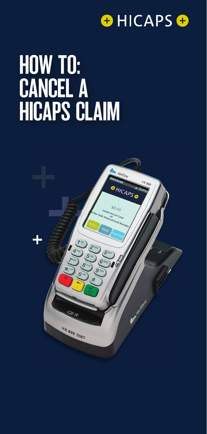

# HOW TO: CANCEL A HICAPS CLAIM

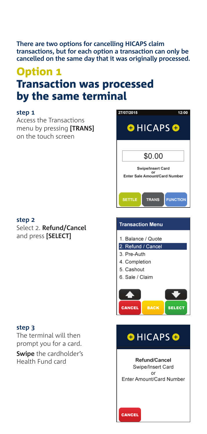**There are two options for cancelling HICAPS claim transactions, but for each option a transaction can only be cancelled on the same day that it was originally processed.**

## **Option 1** Transaction was processed by the same terminal

#### **step 1**

Access the Transactions menu by pressing **[TRANS]** on the touch screen

#### **step 2**

Select 2. **Refund/Cancel**  and press **[SELECT]**

#### **step 3**

The terminal will then prompt you for a card. **Swipe** the cardholder's

Health Fund card

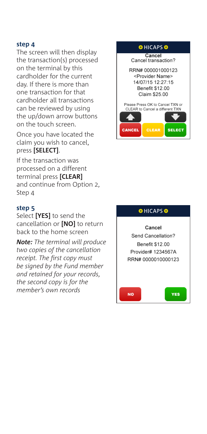#### **step 4**

The screen will then display the transaction(s) processed on the terminal by this cardholder for the current day. If there is more than one transaction for that cardholder all transactions can be reviewed by using the up/down arrow buttons on the touch screen.

Once you have located the claim you wish to cancel, press **[SELECT]**.

If the transaction was processed on a different terminal press **[CLEAR]** and continue from Option 2, Step 4

#### **step 5**

Select **[YES]** to send the cancellation or **[NO]** to return back to the home screen

*Note: The terminal will produce two copies of the cancellation receipt. The first copy must be signed by the Fund member and retained for your records, the second copy is for the member's own records*



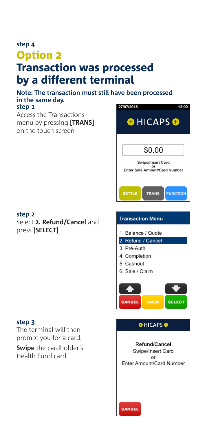### **step 4** Option 2 Transaction was processed by a different terminal

**Note: The transaction must still have been processed in the same day. step 1** 27/07/2015

Access the Transactions menu by pressing **[TRANS]**  on the touch screen

#### **step 2** Select **2. Refund/Cancel** and press **[SELECT]**

#### **step 3**

The terminal will then prompt you for a card.

**Swipe** the cardholder's Health Fund card



12:00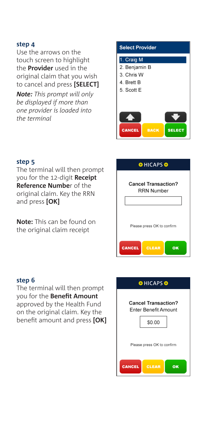#### **step 4**

Use the arrows on the touch screen to highlight the **Provider** used in the original claim that you wish to cancel and press **[SELECT]**

*Note: This prompt will only be displayed if more than one provider is loaded into the terminal*



#### **step 5**

The terminal will then prompt you for the 12-digit **Receipt Reference Numbe**r of the original claim. Key the RRN and press **[OK]**

**Note:** This can be found on the original claim receipt



#### **step 6**

The terminal will then prompt you for the **Benefit Amount**  approved by the Health Fund on the original claim. Key the benefit amount and press **[OK]**

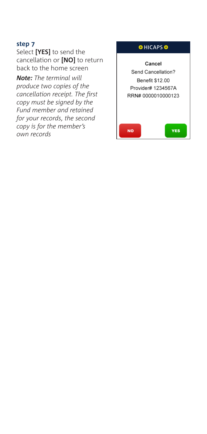#### **step 7**

Select **[YES]** to send the cancellation or **[NO]** to return back to the home screen

*Note: The terminal will produce two copies of the cancellation receipt. The first copy must be signed by the Fund member and retained for your records, the second copy is for the member's own records*

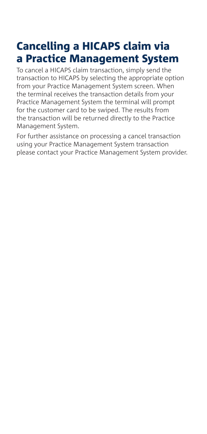# Cancelling a HICAPS claim via a Practice Management System

To cancel a HICAPS claim transaction, simply send the transaction to HICAPS by selecting the appropriate option from your Practice Management System screen. When the terminal receives the transaction details from your Practice Management System the terminal will prompt for the customer card to be swiped. The results from the transaction will be returned directly to the Practice Management System.

For further assistance on processing a cancel transaction using your Practice Management System transaction please contact your Practice Management System provider.